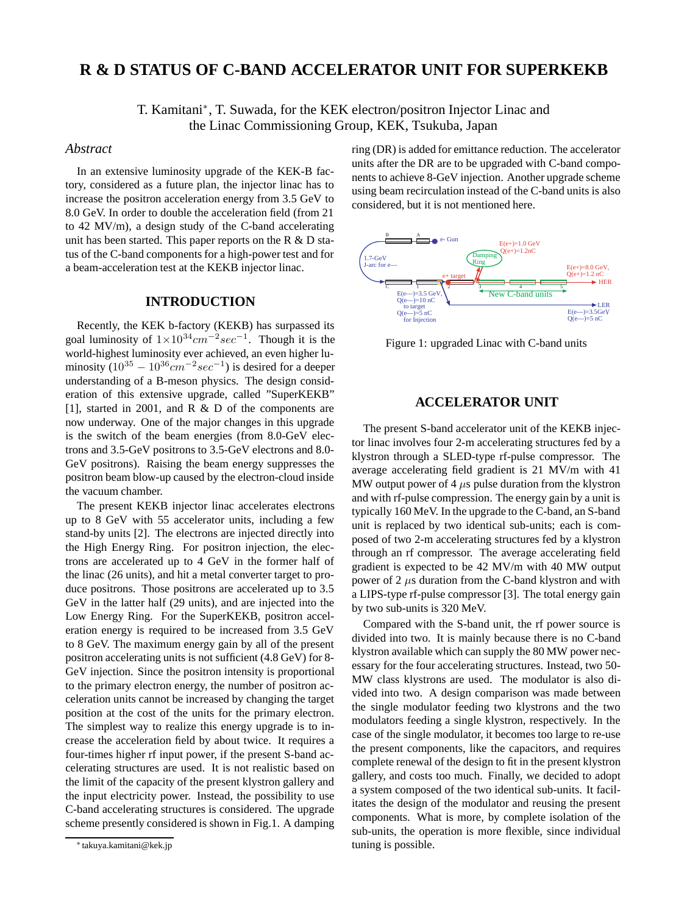# **R & D STATUS OF C-BAND ACCELERATOR UNIT FOR SUPERKEKB**

T. Kamitani∗, T. Suwada, for the KEK electron/positron Injector Linac and the Linac Commissioning Group, KEK, Tsukuba, Japan

#### *Abstract*

In an extensive luminosity upgrade of the KEK-B factory, considered as a future plan, the injector linac has to increase the positron acceleration energy from 3.5 GeV to 8.0 GeV. In order to double the acceleration field (from 21 to 42 MV/m), a design study of the C-band accelerating unit has been started. This paper reports on the R & D status of the C-band components for a high-power test and for a beam-acceleration test at the KEKB injector linac.

### **INTRODUCTION**

Recently, the KEK b-factory (KEKB) has surpassed its goal luminosity of  $1 \times 10^{34}$ cm<sup>-2</sup>sec<sup>-1</sup>. Though it is the world-highest luminosity ever achieved, an even higher luminosity  $(10^{35} – 10^{36} cm^{-2} sec^{-1})$  is desired for a deeper understanding of a B-meson physics. The design consideration of this extensive upgrade, called "SuperKEKB" [1], started in 2001, and R & D of the components are now underway. One of the major changes in this upgrade is the switch of the beam energies (from 8.0-GeV electrons and 3.5-GeV positrons to 3.5-GeV electrons and 8.0- GeV positrons). Raising the beam energy suppresses the positron beam blow-up caused by the electron-cloud inside the vacuum chamber.

The present KEKB injector linac accelerates electrons up to 8 GeV with 55 accelerator units, including a few stand-by units [2]. The electrons are injected directly into the High Energy Ring. For positron injection, the electrons are accelerated up to 4 GeV in the former half of the linac (26 units), and hit a metal converter target to produce positrons. Those positrons are accelerated up to 3.5 GeV in the latter half (29 units), and are injected into the Low Energy Ring. For the SuperKEKB, positron acceleration energy is required to be increased from 3.5 GeV to 8 GeV. The maximum energy gain by all of the present positron accelerating units is not sufficient (4.8 GeV) for 8- GeV injection. Since the positron intensity is proportional to the primary electron energy, the number of positron acceleration units cannot be increased by changing the target position at the cost of the units for the primary electron. The simplest way to realize this energy upgrade is to increase the acceleration field by about twice. It requires a four-times higher rf input power, if the present S-band accelerating structures are used. It is not realistic based on the limit of the capacity of the present klystron gallery and the input electricity power. Instead, the possibility to use C-band accelerating structures is considered. The upgrade scheme presently considered is shown in Fig.1. A damping

ring (DR) is added for emittance reduction. The accelerator units after the DR are to be upgraded with C-band components to achieve 8-GeV injection. Another upgrade scheme using beam recirculation instead of the C-band units is also considered, but it is not mentioned here.



Figure 1: upgraded Linac with C-band units

## **ACCELERATOR UNIT**

The present S-band accelerator unit of the KEKB injector linac involves four 2-m accelerating structures fed by a klystron through a SLED-type rf-pulse compressor. The average accelerating field gradient is 21 MV/m with 41 MW output power of 4  $\mu$ s pulse duration from the klystron and with rf-pulse compression. The energy gain by a unit is typically 160 MeV. In the upgrade to the C-band, an S-band unit is replaced by two identical sub-units; each is composed of two 2-m accelerating structures fed by a klystron through an rf compressor. The average accelerating field gradient is expected to be 42 MV/m with 40 MW output power of 2  $\mu$ s duration from the C-band klystron and with a LIPS-type rf-pulse compressor [3]. The total energy gain by two sub-units is 320 MeV.

Compared with the S-band unit, the rf power source is divided into two. It is mainly because there is no C-band klystron available which can supply the 80 MW power necessary for the four accelerating structures. Instead, two 50- MW class klystrons are used. The modulator is also divided into two. A design comparison was made between the single modulator feeding two klystrons and the two modulators feeding a single klystron, respectively. In the case of the single modulator, it becomes too large to re-use the present components, like the capacitors, and requires complete renewal of the design to fit in the present klystron gallery, and costs too much. Finally, we decided to adopt a system composed of the two identical sub-units. It facilitates the design of the modulator and reusing the present components. What is more, by complete isolation of the sub-units, the operation is more flexible, since individual tuning is possible.

<sup>∗</sup> takuya.kamitani@kek.jp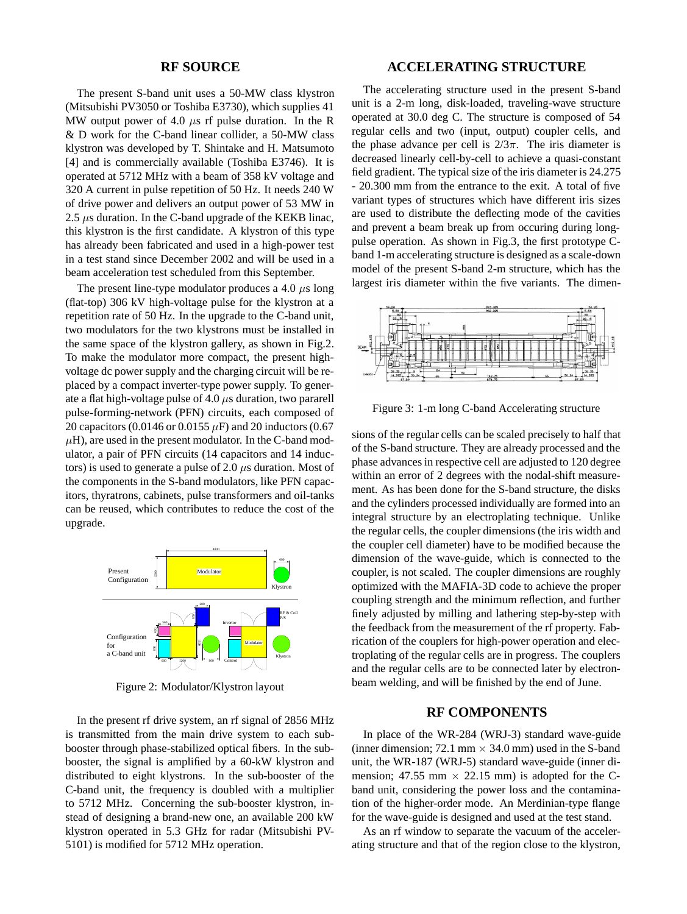#### **RF SOURCE**

The present S-band unit uses a 50-MW class klystron (Mitsubishi PV3050 or Toshiba E3730), which supplies 41 MW output power of 4.0  $\mu$ s rf pulse duration. In the R &Dwork for the C-band linear collider, a 50-MW class klystron was developed by T. Shintake and H. Matsumoto [4] and is commercially available (Toshiba E3746). It is operated at 5712 MHz with a beam of 358 kV voltage and 320 A current in pulse repetition of 50 Hz. It needs 240 W of drive power and delivers an output power of 53 MW in 2.5  $\mu$ s duration. In the C-band upgrade of the KEKB linac, this klystron is the first candidate. A klystron of this type has already been fabricated and used in a high-power test in a test stand since December 2002 and will be used in a beam acceleration test scheduled from this September.

The present line-type modulator produces a 4.0  $\mu$ s long (flat-top) 306 kV high-voltage pulse for the klystron at a repetition rate of 50 Hz. In the upgrade to the C-band unit, two modulators for the two klystrons must be installed in the same space of the klystron gallery, as shown in Fig.2. To make the modulator more compact, the present highvoltage dc power supply and the charging circuit will be replaced by a compact inverter-type power supply. To generate a flat high-voltage pulse of 4.0  $\mu$ s duration, two pararell pulse-forming-network (PFN) circuits, each composed of 20 capacitors (0.0146 or 0.0155  $\mu$ F) and 20 inductors (0.67  $\mu$ H), are used in the present modulator. In the C-band modulator, a pair of PFN circuits (14 capacitors and 14 inductors) is used to generate a pulse of 2.0  $\mu$ s duration. Most of the components in the S-band modulators, like PFN capacitors, thyratrons, cabinets, pulse transformers and oil-tanks can be reused, which contributes to reduce the cost of the upgrade.



Figure 2: Modulator/Klystron layout

In the present rf drive system, an rf signal of 2856 MHz is transmitted from the main drive system to each subbooster through phase-stabilized optical fibers. In the subbooster, the signal is amplified by a 60-kW klystron and distributed to eight klystrons. In the sub-booster of the C-band unit, the frequency is doubled with a multiplier to 5712 MHz. Concerning the sub-booster klystron, instead of designing a brand-new one, an available 200 kW klystron operated in 5.3 GHz for radar (Mitsubishi PV-5101) is modified for 5712 MHz operation.

## **ACCELERATING STRUCTURE**

The accelerating structure used in the present S-band unit is a 2-m long, disk-loaded, traveling-wave structure operated at 30.0 deg C. The structure is composed of 54 regular cells and two (input, output) coupler cells, and the phase advance per cell is  $2/3\pi$ . The iris diameter is decreased linearly cell-by-cell to achieve a quasi-constant field gradient. The typical size of the iris diameter is 24.275 - 20.300 mm from the entrance to the exit. A total of five variant types of structures which have different iris sizes are used to distribute the deflecting mode of the cavities and prevent a beam break up from occuring during longpulse operation. As shown in Fig.3, the first prototype Cband 1-m accelerating structure is designed as a scale-down model of the present S-band 2-m structure, which has the largest iris diameter within the five variants. The dimen-



Figure 3: 1-m long C-band Accelerating structure

sions of the regular cells can be scaled precisely to half that of the S-band structure. They are already processed and the phase advances in respective cell are adjusted to 120 degree within an error of 2 degrees with the nodal-shift measurement. As has been done for the S-band structure, the disks and the cylinders processed individually are formed into an integral structure by an electroplating technique. Unlike the regular cells, the coupler dimensions (the iris width and the coupler cell diameter) have to be modified because the dimension of the wave-guide, which is connected to the coupler, is not scaled. The coupler dimensions are roughly optimized with the MAFIA-3D code to achieve the proper coupling strength and the minimum reflection, and further finely adjusted by milling and lathering step-by-step with the feedback from the measurement of the rf property. Fabrication of the couplers for high-power operation and electroplating of the regular cells are in progress. The couplers and the regular cells are to be connected later by electronbeam welding, and will be finished by the end of June.

#### **RF COMPONENTS**

In place of the WR-284 (WRJ-3) standard wave-guide (inner dimension; 72.1 mm *×* 34.0 mm) used in the S-band unit, the WR-187 (WRJ-5) standard wave-guide (inner dimension; 47.55 mm  $\times$  22.15 mm) is adopted for the Cband unit, considering the power loss and the contamination of the higher-order mode. An Merdinian-type flange for the wave-guide is designed and used at the test stand.

As an rf window to separate the vacuum of the accelerating structure and that of the region close to the klystron,